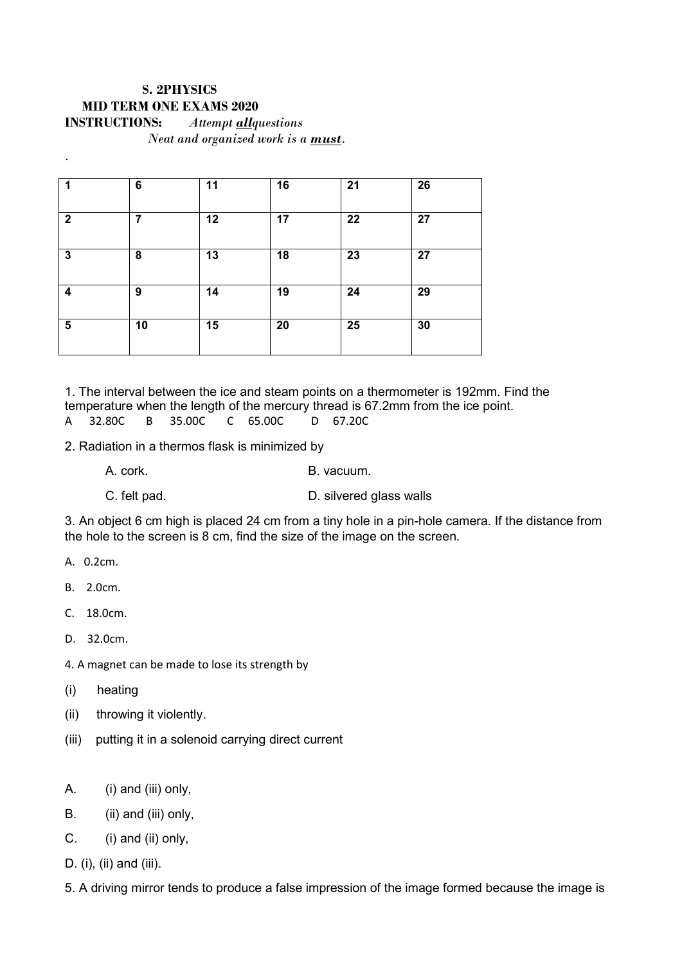## **S. 2PHYSICS MID TERM ONE EXAMS 2020 INSTRUCTIONS:** *Attempt allquestions Neat and organized work is a must.*

| 1              | 6  | 11 | 16 | 21 | 26 |
|----------------|----|----|----|----|----|
| $\overline{2}$ | 7  | 12 | 17 | 22 | 27 |
| $\mathbf{3}$   | 8  | 13 | 18 | 23 | 27 |
| 4              | 9  | 14 | 19 | 24 | 29 |
| $\sqrt{5}$     | 10 | 15 | 20 | 25 | 30 |

1. The interval between the ice and steam points on a thermometer is 192mm. Find the temperature when the length of the mercury thread is 67.2mm from the ice point.<br>A  $32.80C$  B  $35.00C$  C  $65.00C$  D  $67.20C$ A 32.80C B 35.00C C 65.00C D 67.20C

2. Radiation in a thermos flask is minimized by

A. cork. B. vacuum.

C. felt pad. D. silvered glass walls

3. An object 6 cm high is placed 24 cm from a tiny hole in a pin-hole camera. If the distance from the hole to the screen is 8 cm, find the size of the image on the screen.

A. 0.2cm.

*.* 

- B. 2.0cm.
- C. 18.0cm.
- D. 32.0cm.

4. A magnet can be made to lose its strength by

- (i) heating
- (ii) throwing it violently.
- (iii) putting it in a solenoid carrying direct current
- A. (i) and (iii) only,
- B. (ii) and (iii) only,
- C. (i) and (ii) only,
- D. (i), (ii) and (iii).
- 5. A driving mirror tends to produce a false impression of the image formed because the image is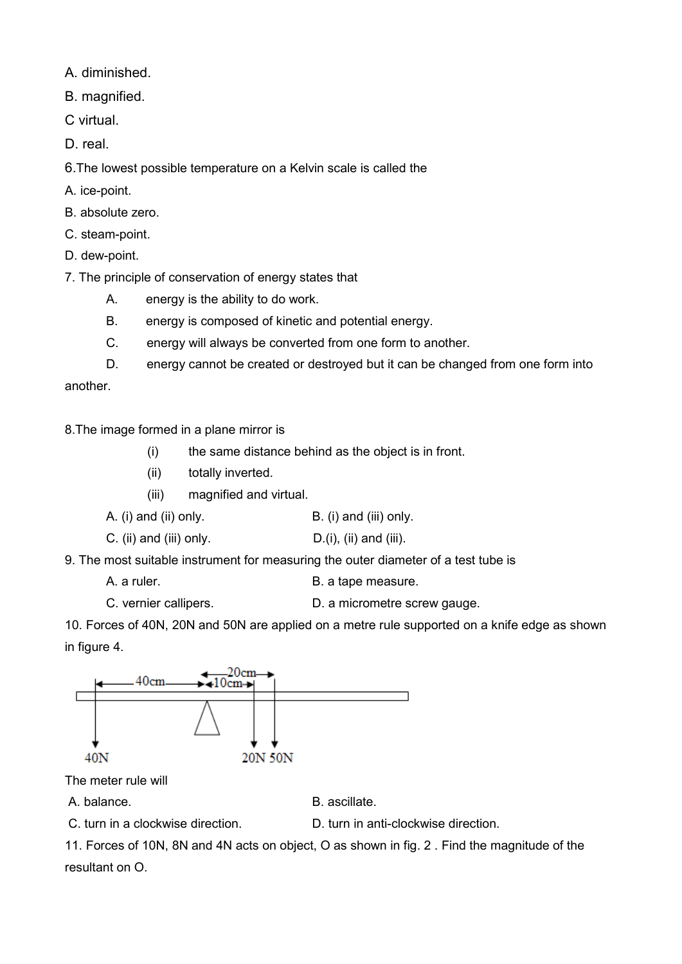A. diminished.

B. magnified.

C virtual.

D. real.

6.The lowest possible temperature on a Kelvin scale is called the

A. ice-point.

B. absolute zero.

C. steam-point.

D. dew-point.

7. The principle of conservation of energy states that

A. energy is the ability to do work.

B. energy is composed of kinetic and potential energy.

C. energy will always be converted from one form to another.

D. energy cannot be created or destroyed but it can be changed from one form into

another.

8.The image formed in a plane mirror is

(i) the same distance behind as the object is in front.

(ii) totally inverted.

(iii) magnified and virtual.

A. (i) and (ii) only. B. (i) and (iii) only.

C. (ii) and (iii) only.  $D.(i)$ , (ii) and (iii).

9. The most suitable instrument for measuring the outer diameter of a test tube is

A. a ruler. The same section of the B. a tape measure.

C. vernier callipers. D. a micrometre screw gauge.

10. Forces of 40N, 20N and 50N are applied on a metre rule supported on a knife edge as shown in figure 4.



The meter rule will

A. balance. **B. ascillate.** 

C. turn in a clockwise direction. D. turn in anti-clockwise direction.

11. Forces of 10N, 8N and 4N acts on object, O as shown in fig. 2 . Find the magnitude of the resultant on O.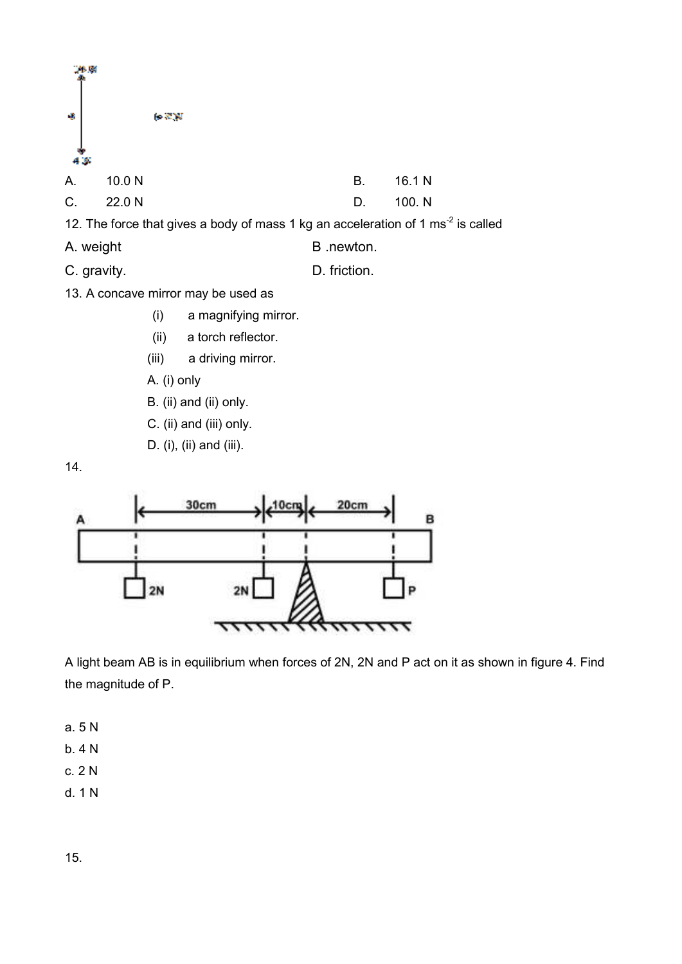

C. gravity. D. friction.

- 13. A concave mirror may be used as
	- (i) a magnifying mirror.
	- (ii) a torch reflector.
	- (iii) a driving mirror.
	- A. (i) only
	- B. (ii) and (ii) only.
	- C. (ii) and (iii) only.
	- D. (i), (ii) and (iii).





A light beam AB is in equilibrium when forces of 2N, 2N and P act on it as shown in figure 4. Find the magnitude of P.

- a. 5 N
- b. 4 N
- c. 2 N
- d. 1 N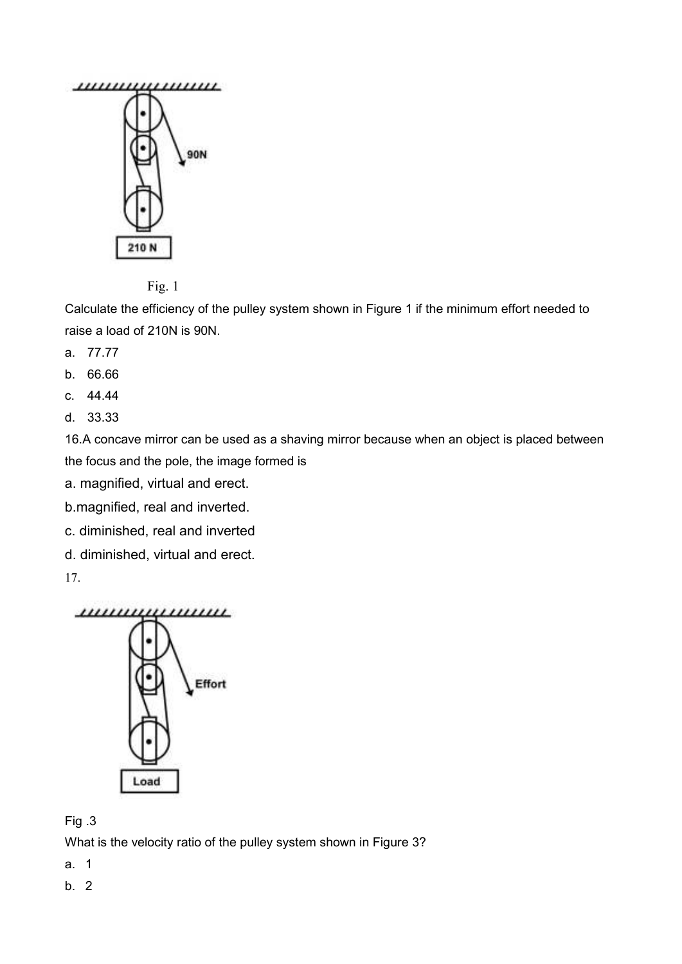



Calculate the efficiency of the pulley system shown in Figure 1 if the minimum effort needed to raise a load of 210N is 90N.

- a. 77.77
- b. 66.66
- c. 44.44
- d. 33.33

16.A concave mirror can be used as a shaving mirror because when an object is placed between the focus and the pole, the image formed is

a. magnified, virtual and erect.

b.magnified, real and inverted.

c. diminished, real and inverted

d. diminished, virtual and erect.

17.



## Fig .3

What is the velocity ratio of the pulley system shown in Figure 3?

- a. 1
- b. 2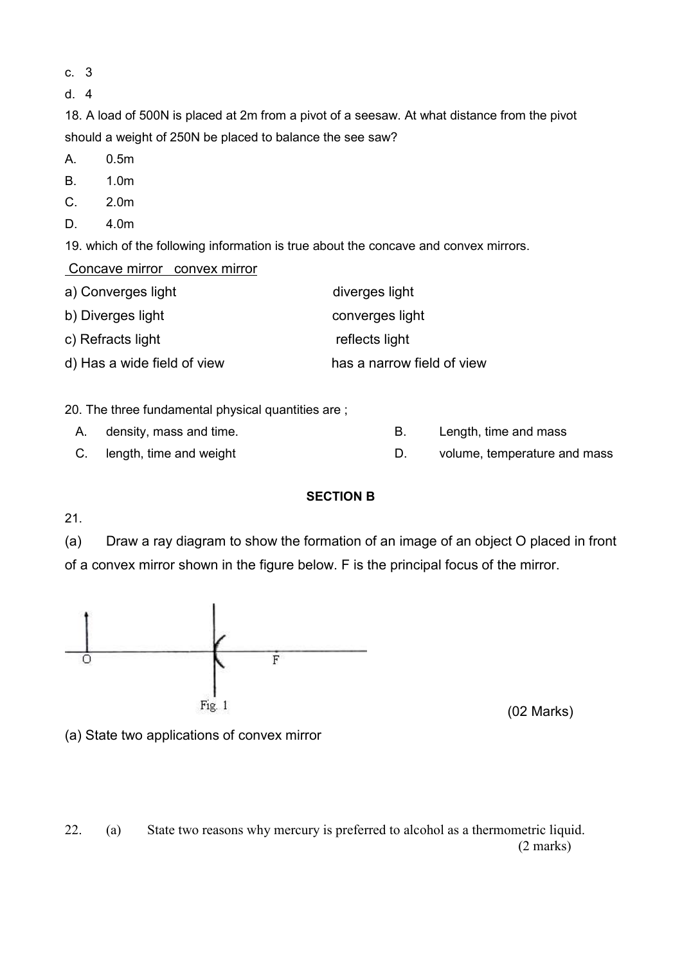- c. 3
- d. 4

18. A load of 500N is placed at 2m from a pivot of a seesaw. At what distance from the pivot should a weight of 250N be placed to balance the see saw?

- A. 0.5m
- B. 1.0m
- C. 2.0m
- D. 4.0m

19. which of the following information is true about the concave and convex mirrors.

Concave mirror convex mirror

| a) Converges light          | diverges light             |
|-----------------------------|----------------------------|
| b) Diverges light_          | converges light            |
| c) Refracts light           | reflects light             |
| d) Has a wide field of view | has a narrow field of view |

20. The three fundamental physical quantities are ;

- A. density, mass and time.  $\blacksquare$  B. Length, time and mass
- C. length, time and weight **D.** volume, temperature and mass

## **SECTION B**

21.

(a) Draw a ray diagram to show the formation of an image of an object O placed in front of a convex mirror shown in the figure below. F is the principal focus of the mirror.



(02 Marks)

(a) State two applications of convex mirror

22. (a) State two reasons why mercury is preferred to alcohol as a thermometric liquid. (2 marks)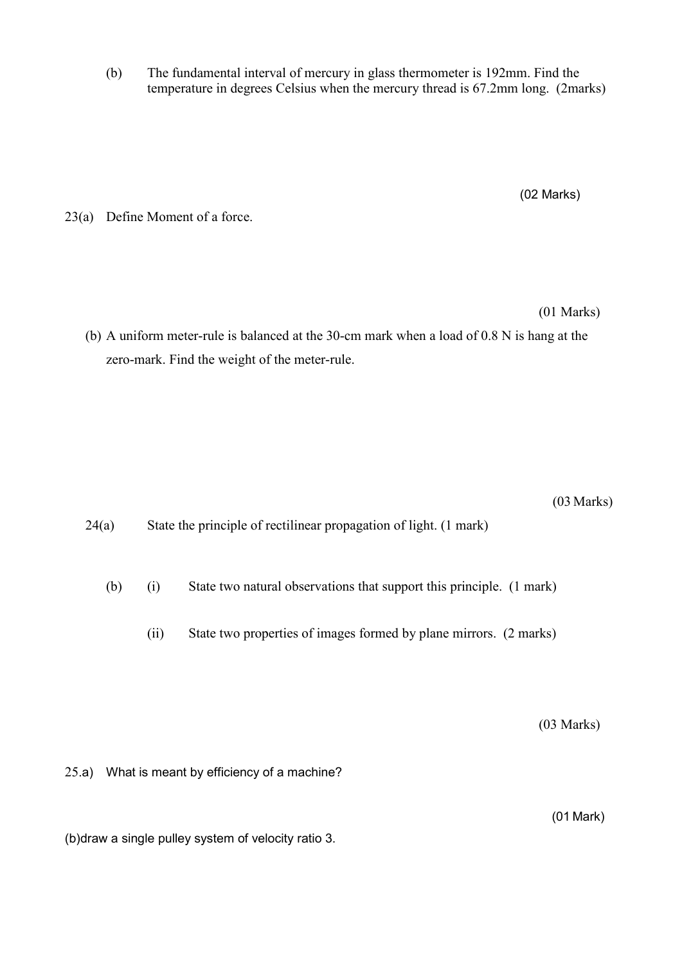(b) The fundamental interval of mercury in glass thermometer is 192mm. Find the temperature in degrees Celsius when the mercury thread is 67.2mm long. (2marks)

(02 Marks)

23(a) Define Moment of a force.

(01 Marks)

(b) A uniform meter-rule is balanced at the 30-cm mark when a load of 0.8 N is hang at the zero-mark. Find the weight of the meter-rule.

(03 Marks)

24(a) State the principle of rectilinear propagation of light. (1 mark)

(b) (i) State two natural observations that support this principle. (1 mark)

(ii) State two properties of images formed by plane mirrors. (2 marks)

(03 Marks)

25.a) What is meant by efficiency of a machine?

(01 Mark)

(b)draw a single pulley system of velocity ratio 3.